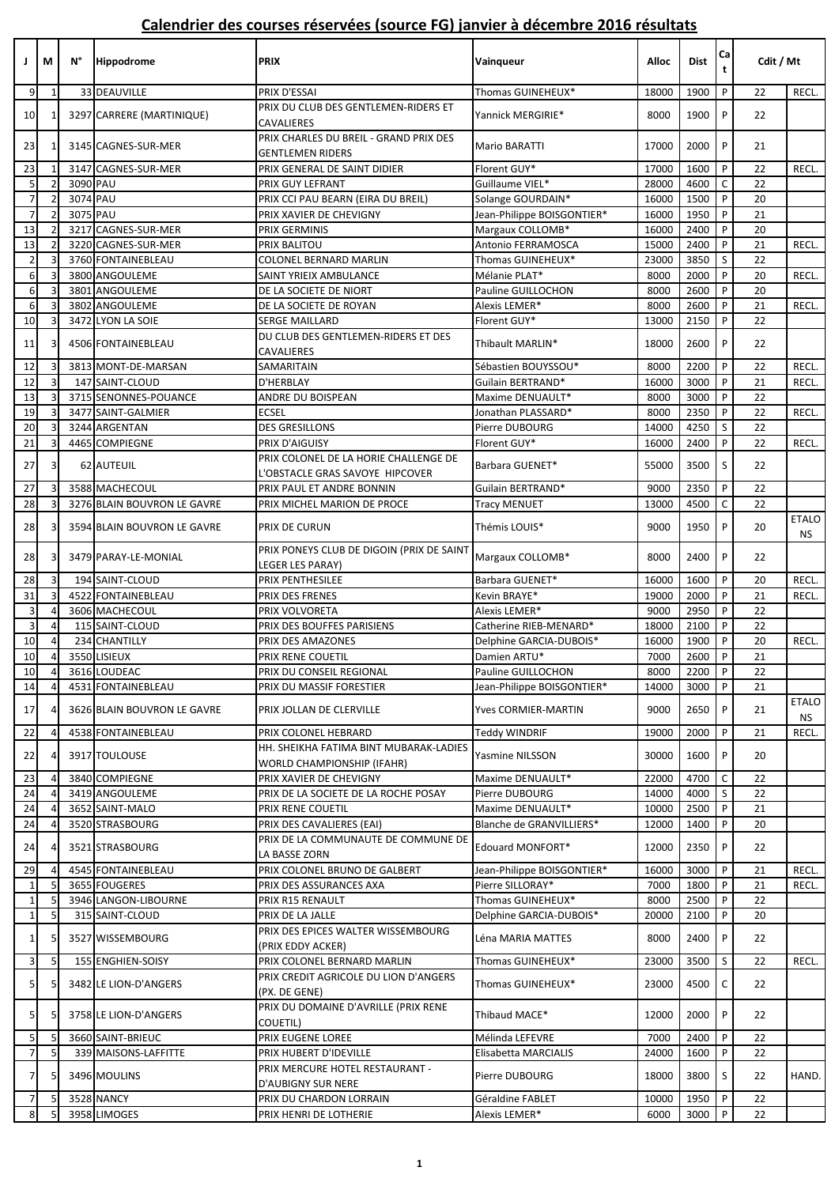| J                       | М              | N°       | Hippodrome                          | <b>PRIX</b>                                                          | Vainqueur                       | Alloc          | <b>Dist</b>  | Ca<br>t      | Cdit / Mt |                           |
|-------------------------|----------------|----------|-------------------------------------|----------------------------------------------------------------------|---------------------------------|----------------|--------------|--------------|-----------|---------------------------|
| $\overline{9}$          | $\mathbf{1}$   |          | 33 DEAUVILLE                        | PRIX D'ESSAI                                                         | Thomas GUINEHEUX*               | 18000          | 1900         | P            | 22        | RECL.                     |
| 10                      | 1              |          | 3297 CARRERE (MARTINIQUE)           | PRIX DU CLUB DES GENTLEMEN-RIDERS ET<br>CAVALIERES                   | Yannick MERGIRIE*               | 8000           | 1900         | P            | 22        |                           |
| 23                      | 1              |          | 3145 CAGNES-SUR-MER                 | PRIX CHARLES DU BREIL - GRAND PRIX DES<br><b>GENTLEMEN RIDERS</b>    | Mario BARATTI                   | 17000          | 2000         | P            | 21        |                           |
| 23                      | $\mathbf{1}$   |          | 3147 CAGNES-SUR-MER                 | PRIX GENERAL DE SAINT DIDIER                                         | Florent GUY*                    | 17000          | 1600         | P            | 22        | RECL.                     |
| 5                       |                | 3090 PAU |                                     | PRIX GUY LEFRANT                                                     | Guillaume VIEL*                 | 28000          | 4600         | C            | 22        |                           |
| $\overline{7}$          |                | 3074 PAU |                                     | PRIX CCI PAU BEARN (EIRA DU BREIL)                                   | Solange GOURDAIN*               | 16000          | 1500         | P            | 20        |                           |
| $\overline{7}$          | $\overline{2}$ | 3075 PAU |                                     | PRIX XAVIER DE CHEVIGNY                                              | Jean-Philippe BOISGONTIER*      | 16000          | 1950         | P            | 21        |                           |
| 13                      | $\overline{2}$ |          | 3217 CAGNES-SUR-MER                 | PRIX GERMINIS                                                        | Margaux COLLOMB*                | 16000          | 2400         | P            | 20        |                           |
| 13                      | $\mathcal{I}$  |          | 3220 CAGNES-SUR-MER                 | PRIX BALITOU                                                         | Antonio FERRAMOSCA              | 15000          | 2400         | P            | 21        | RECL.                     |
| $\overline{2}$          | 3              |          | 3760 FONTAINEBLEAU                  | COLONEL BERNARD MARLIN                                               | Thomas GUINEHEUX*               | 23000          | 3850         | S            | 22        |                           |
| 6                       | 3              |          | 3800 ANGOULEME                      | SAINT YRIEIX AMBULANCE                                               | Mélanie PLAT*                   | 8000           | 2000         | P            | 20        | <b>RECL</b>               |
| 6                       | 3              |          | 3801 ANGOULEME                      | DE LA SOCIETE DE NIORT                                               | Pauline GUILLOCHON              | 8000           | 2600         | P            | 20        |                           |
| 6                       |                |          | 3802 ANGOULEME<br>3472 LYON LA SOIE | DE LA SOCIETE DE ROYAN                                               | Alexis LEMER*                   | 8000           | 2600         | P<br>P       | 21        | RECL.                     |
| 10                      | 3              |          |                                     | <b>SERGE MAILLARD</b>                                                | Florent GUY*                    | 13000          | 2150         |              | 22        |                           |
| 11                      | 3              |          | 4506 FONTAINEBLEAU                  | DU CLUB DES GENTLEMEN-RIDERS ET DES<br>CAVALIERES                    | Thibault MARLIN*                | 18000          | 2600         | P            | 22        |                           |
| 12                      | 3              |          | 3813 MONT-DE-MARSAN                 | SAMARITAIN                                                           | Sébastien BOUYSSOU*             | 8000           | 2200         | P            | 22        | RECL.                     |
| 12                      | 3              |          | 147 SAINT-CLOUD                     | D'HERBLAY                                                            | Guilain BERTRAND*               | 16000          | 3000         | P            | 21        | RECL.                     |
| 13                      | з              |          | 3715 SENONNES-POUANCE               | <b>ANDRE DU BOISPEAN</b>                                             | Maxime DENUAULT*                | 8000           | 3000         | $\sf P$      | 22        |                           |
| 19                      | 3              |          | 3477 SAINT-GALMIER                  | <b>ECSEL</b>                                                         | Jonathan PLASSARD*              | 8000           | 2350         | ${\sf P}$    | 22        | RECL.                     |
| 20                      |                |          | 3244 ARGENTAN                       | <b>DES GRESILLONS</b>                                                | Pierre DUBOURG                  | 14000          | 4250         | S            | 22        |                           |
| 21<br>27                | 3<br>3         |          | 4465 COMPIEGNE<br>62 AUTEUIL        | PRIX D'AIGUISY<br>PRIX COLONEL DE LA HORIE CHALLENGE DE              | Florent GUY*<br>Barbara GUENET* | 16000<br>55000 | 2400<br>3500 | P<br>S       | 22<br>22  | RECL.                     |
| 27                      | 3              |          | 3588 MACHECOUL                      | L'OBSTACLE GRAS SAVOYE HIPCOVER<br>PRIX PAUL ET ANDRE BONNIN         | Guilain BERTRAND*               | 9000           | 2350         | P            | 22        |                           |
| 28                      | 3              |          | 3276 BLAIN BOUVRON LE GAVRE         | PRIX MICHEL MARION DE PROCE                                          | <b>Tracy MENUET</b>             | 13000          | 4500         | C            | 22        |                           |
| 28                      | 3              |          | 3594 BLAIN BOUVRON LE GAVRE         | PRIX DE CURUN                                                        | Thémis LOUIS*                   | 9000           | 1950         | P            | 20        | <b>ETALO</b><br><b>NS</b> |
| 28                      | 3              |          | 3479 PARAY-LE-MONIAL                | PRIX PONEYS CLUB DE DIGOIN (PRIX DE SAINT<br>LEGER LES PARAY)        | Margaux COLLOMB*                | 8000           | 2400         | P            | 22        |                           |
| 28                      | 3              |          | 194 SAINT-CLOUD                     | PRIX PENTHESILEE                                                     | Barbara GUENET*                 | 16000          | 1600         | P            | 20        | RECL.                     |
| 31                      | 3              |          | 4522 FONTAINEBLEAU                  | PRIX DES FRENES                                                      | Kevin BRAYE*                    | 19000          | 2000         | P            | 21        | RECL.                     |
| 3                       | 4              |          | 3606 MACHECOUL                      | PRIX VOLVORETA                                                       | Alexis LEMER*                   | 9000           | 2950         | P            | 22        |                           |
| 3                       | 4              |          | 115 SAINT-CLOUD                     | PRIX DES BOUFFES PARISIENS                                           | Catherine RIEB-MENARD*          | 18000          | 2100         | P            | 22        |                           |
| 10                      |                |          | 234 CHANTILLY                       | PRIX DES AMAZONES                                                    | Delphine GARCIA-DUBOIS*         | 16000          | 1900         | P            | 20        | RECL.                     |
| 10                      | $\overline{4}$ |          | 3550 LISIEUX                        | PRIX RENE COUETIL                                                    | Damien ARTU*                    | 7000           | 2600         | P            | 21        |                           |
| 10                      |                |          | 3616 LOUDEAC                        | PRIX DU CONSEIL REGIONAL                                             | Pauline GUILLOCHON              | 8000           | 2200         | ${\sf P}$    | 22        |                           |
| 14                      | $\overline{4}$ |          | 4531 FONTAINEBLEAU                  | PRIX DU MASSIF FORESTIER                                             | Jean-Philippe BOISGONTIER*      | 14000          | 3000         | $\mathsf{P}$ | 21        |                           |
| 17                      |                |          | 3626 BLAIN BOUVRON LE GAVRE         | PRIX JOLLAN DE CLERVILLE                                             | Yves CORMIER-MARTIN             | 9000           | 2650         | P            | 21        | <b>ETALO</b><br><b>NS</b> |
| 22                      | 4              |          | 4538 FONTAINEBLEAU                  | PRIX COLONEL HEBRARD                                                 | Teddy WINDRIF                   | 19000          | 2000         | P            | 21        | RECL.                     |
| 22                      |                |          | 3917 TOULOUSE                       | HH. SHEIKHA FATIMA BINT MUBARAK-LADIES<br>WORLD CHAMPIONSHIP (IFAHR) | Yasmine NILSSON                 | 30000          | 1600         | P            | 20        |                           |
| 23                      | 4              |          | 3840 COMPIEGNE                      | PRIX XAVIER DE CHEVIGNY                                              | Maxime DENUAULT*                | 22000          | 4700         | C            | 22        |                           |
| 24                      |                |          | 3419 ANGOULEME                      | PRIX DE LA SOCIETE DE LA ROCHE POSAY                                 | Pierre DUBOURG                  | 14000          | 4000         | S            | 22        |                           |
| 24                      |                |          | 3652 SAINT-MALO                     | PRIX RENE COUETIL                                                    | Maxime DENUAULT*                | 10000          | 2500         | P            | 21        |                           |
| 24                      |                |          | 3520 STRASBOURG                     | PRIX DES CAVALIERES (EAI)                                            | Blanche de GRANVILLIERS*        | 12000          | 1400         | ${\sf P}$    | 20        |                           |
| 24                      |                |          | 3521 STRASBOURG                     | PRIX DE LA COMMUNAUTE DE COMMUNE DE<br>LA BASSE ZORN                 | Edouard MONFORT*                | 12000          | 2350         | P            | 22        |                           |
| 29                      | 4              |          | 4545 FONTAINEBLEAU                  | PRIX COLONEL BRUNO DE GALBERT                                        | Jean-Philippe BOISGONTIER*      | 16000          | 3000         | P            | 21        | RECL.                     |
| $\mathbf{1}$            | 5              |          | 3655 FOUGERES                       | PRIX DES ASSURANCES AXA                                              | Pierre SILLORAY*                | 7000           | 1800         | P            | 21        | RECL.                     |
| $\mathbf{1}$            | 5              |          | 3946 LANGON-LIBOURNE                | PRIX R15 RENAULT                                                     | Thomas GUINEHEUX*               | 8000           | 2500         | P            | 22        |                           |
| $1\,$                   | 5              |          | 315 SAINT-CLOUD                     | PRIX DE LA JALLE                                                     | Delphine GARCIA-DUBOIS*         | 20000          | 2100         | P            | 20        |                           |
| $\mathbf{1}$            | 5              |          | 3527 WISSEMBOURG                    | PRIX DES EPICES WALTER WISSEMBOURG<br>(PRIX EDDY ACKER)              | Léna MARIA MATTES               | 8000           | 2400         | P            | 22        |                           |
| $\overline{\mathbf{3}}$ | 5              |          | 155 ENGHIEN-SOISY                   | PRIX COLONEL BERNARD MARLIN                                          | Thomas GUINEHEUX*               | 23000          | 3500         | S            | 22        | RECL.                     |
| 5 <sub>l</sub>          | 5              |          | 3482 LE LION-D'ANGERS               | PRIX CREDIT AGRICOLE DU LION D'ANGERS<br>(PX. DE GENE)               | Thomas GUINEHEUX*               | 23000          | 4500         | C            | 22        |                           |
| 5 <sub>l</sub>          | 5              |          | 3758 LE LION-D'ANGERS               | PRIX DU DOMAINE D'AVRILLE (PRIX RENE<br>COUETIL)                     | Thibaud MACE*                   | 12000          | 2000         | P            | 22        |                           |
| $\vert$                 | 5              |          | 3660 SAINT-BRIEUC                   | PRIX EUGENE LOREE                                                    | Mélinda LEFEVRE                 | 7000           | 2400         | P            | 22        |                           |
| $\overline{7}$          | 5              |          | 339 MAISONS-LAFFITTE                | PRIX HUBERT D'IDEVILLE                                               | Elisabetta MARCIALIS            | 24000          | 1600         | P            | 22        |                           |
| 7 <sup>1</sup>          | 5 <sub>l</sub> |          | 3496 MOULINS                        | PRIX MERCURE HOTEL RESTAURANT -                                      | Pierre DUBOURG                  | 18000          | 3800         | S            | 22        | HAND.                     |
| $\overline{7}$          | 5              |          | 3528 NANCY                          | D'AUBIGNY SUR NERE                                                   | Géraldine FABLET                |                | 1950         | ${\sf P}$    | 22        |                           |
| 8                       | 5              |          | 3958 LIMOGES                        | PRIX DU CHARDON LORRAIN<br>PRIX HENRI DE LOTHERIE                    | Alexis LEMER*                   | 10000<br>6000  | 3000         | P            | 22        |                           |
|                         |                |          |                                     |                                                                      |                                 |                |              |              |           |                           |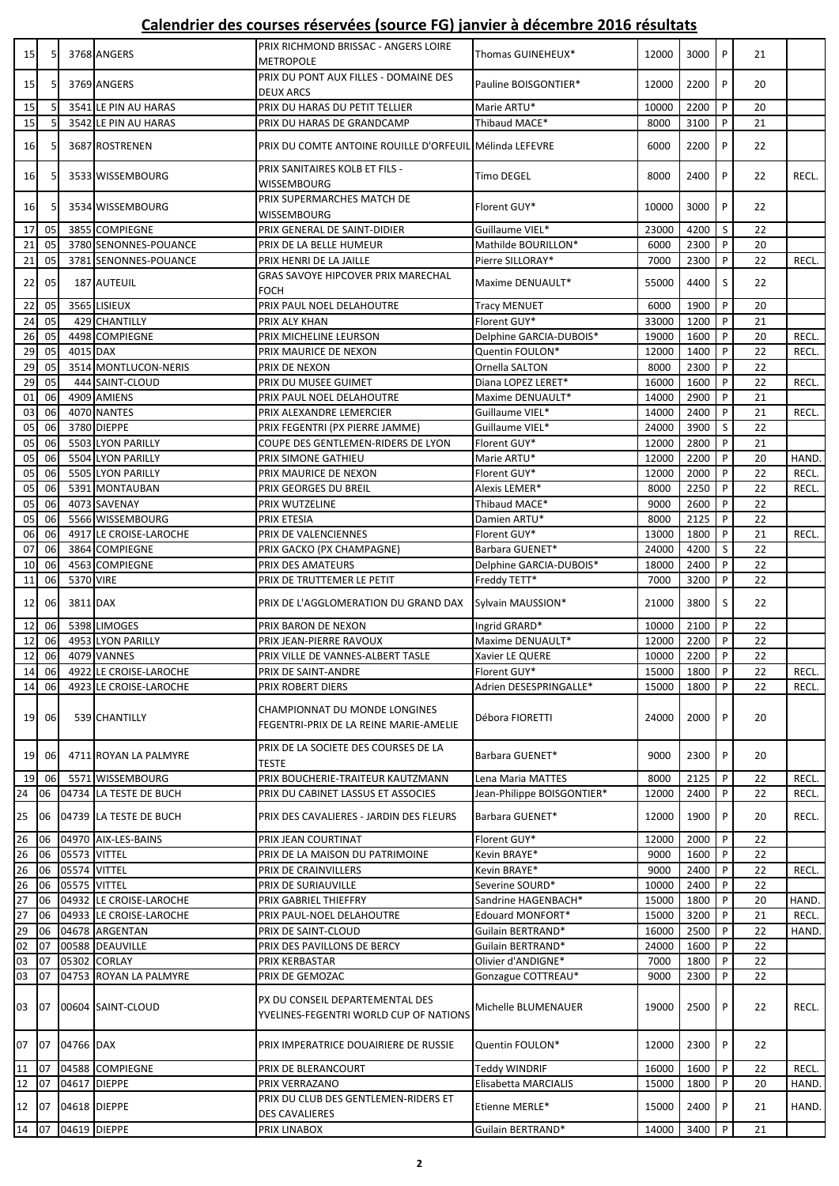| 15 | 5            |           | 3768 ANGERS                           | PRIX RICHMOND BRISSAC - ANGERS LOIRE<br><b>METROPOLE</b>                  | Thomas GUINEHEUX*                            | 12000          | 3000         | P                            | 21       |                |
|----|--------------|-----------|---------------------------------------|---------------------------------------------------------------------------|----------------------------------------------|----------------|--------------|------------------------------|----------|----------------|
| 15 | 5            |           | 3769 ANGERS                           | PRIX DU PONT AUX FILLES - DOMAINE DES<br><b>DEUX ARCS</b>                 | Pauline BOISGONTIER*                         | 12000          | 2200         | P                            | 20       |                |
| 15 | 5            |           | 3541 LE PIN AU HARAS                  | PRIX DU HARAS DU PETIT TELLIER                                            | Marie ARTU*                                  | 10000          | 2200         | P                            | 20       |                |
| 15 | 5            |           | 3542 LE PIN AU HARAS                  | PRIX DU HARAS DE GRANDCAMP                                                | Thibaud MACE*                                | 8000           | 3100         | P                            | 21       |                |
| 16 | 5            |           | 3687 ROSTRENEN                        | PRIX DU COMTE ANTOINE ROUILLE D'ORFEUIL Mélinda LEFEVRE                   |                                              | 6000           | 2200         | P                            | 22       |                |
| 16 | 5            |           | 3533 WISSEMBOURG                      | PRIX SANITAIRES KOLB ET FILS -<br>WISSEMBOURG                             | <b>Timo DEGEL</b>                            | 8000           | 2400         | P                            | 22       | RECL.          |
| 16 | 5            |           | 3534 WISSEMBOURG                      | PRIX SUPERMARCHES MATCH DE                                                | Florent GUY*                                 | 10000          | 3000         | P                            | 22       |                |
|    |              |           |                                       | WISSEMBOURG                                                               |                                              |                |              |                              |          |                |
| 17 | 05           |           | 3855 COMPIEGNE                        | PRIX GENERAL DE SAINT-DIDIER                                              | Guillaume VIEL*                              | 23000          | 4200         | S                            | 22       |                |
| 21 | 05           |           | 3780 SENONNES-POUANCE                 | PRIX DE LA BELLE HUMEUR                                                   | Mathilde BOURILLON*                          | 6000           | 2300         | $\mathsf{P}$                 | 20<br>22 |                |
| 21 | 05           |           | 3781 SENONNES-POUANCE                 | PRIX HENRI DE LA JAILLE<br>GRAS SAVOYE HIPCOVER PRIX MARECHAL             | Pierre SILLORAY*                             | 7000           | 2300         | $\mathsf{P}$                 |          | RECL.          |
| 22 | 05           |           | 187 AUTEUIL                           | FOCH                                                                      | Maxime DENUAULT*                             | 55000          | 4400         | S                            | 22       |                |
| 22 | 05           |           | 3565 LISIEUX                          | PRIX PAUL NOEL DELAHOUTRE                                                 | <b>Tracy MENUET</b>                          | 6000           | 1900         | P                            | 20       |                |
| 24 | 05           |           | 429 CHANTILLY                         | PRIX ALY KHAN                                                             | Florent GUY*                                 | 33000          | 1200         | P                            | 21       |                |
| 26 | 05           |           | 4498 COMPIEGNE                        | PRIX MICHELINE LEURSON                                                    | Delphine GARCIA-DUBOIS*                      | 19000          | 1600         | P                            | 20       | RECL.          |
| 29 | 05           | 4015 DAX  |                                       | PRIX MAURICE DE NEXON                                                     | Quentin FOULON*                              | 12000          | 1400         | $\mathsf{P}$                 | 22       | RECL.          |
| 29 | 05           |           | 3514 MONTLUCON-NERIS                  | PRIX DE NEXON                                                             | Ornella SALTON                               | 8000           | 2300         | $\mathsf{P}$                 | 22       |                |
| 29 | 05           |           | 444 SAINT-CLOUD                       | PRIX DU MUSEE GUIMET                                                      | Diana LOPEZ LERET*                           | 16000          | 1600         | P                            | 22       | RECL.          |
| 01 | 06           |           | 4909 AMIENS                           | PRIX PAUL NOEL DELAHOUTRE                                                 | Maxime DENUAULT*                             | 14000          | 2900         | $\mathsf{P}$                 | 21       |                |
| 03 | 06           |           | 4070 NANTES                           | PRIX ALEXANDRE LEMERCIER                                                  | Guillaume VIEL*                              | 14000          | 2400         | $\mathsf{P}$                 | 21       | RECL.          |
| 05 | 06           |           | 3780 DIEPPE                           | PRIX FEGENTRI (PX PIERRE JAMME)                                           | Guillaume VIEL*                              | 24000          | 3900         | S                            | 22       |                |
| 05 | 06           |           | 5503 LYON PARILLY                     | COUPE DES GENTLEMEN-RIDERS DE LYON                                        | Florent GUY*                                 | 12000          | 2800         | $\mathsf{P}$                 | 21       |                |
| 05 | 06           |           | 5504 LYON PARILLY                     | PRIX SIMONE GATHIEU                                                       | Marie ARTU*                                  | 12000          | 2200         | P                            | 20       | HAND.          |
| 05 | 06           |           | 5505 LYON PARILLY                     | PRIX MAURICE DE NEXON                                                     | Florent GUY*                                 | 12000          | 2000         | $\mathsf{P}$                 | 22       | RECL.          |
| 05 | 06           |           | 5391 MONTAUBAN                        | PRIX GEORGES DU BREIL                                                     | Alexis LEMER*                                | 8000           | 2250         | ${\sf P}$                    | 22       | RECL.          |
| 05 | 06           |           | 4073 SAVENAY                          | PRIX WUTZELINE                                                            | Thibaud MACE*                                | 9000           | 2600         | $\mathsf{P}$                 | 22       |                |
| 05 | 06           |           | 5566 WISSEMBOURG                      | PRIX ETESIA                                                               | Damien ARTU*                                 | 8000           | 2125         | $\mathsf{P}$                 | 22       |                |
| 06 | 06           |           | 4917 LE CROISE-LAROCHE                | PRIX DE VALENCIENNES                                                      | Florent GUY*                                 | 13000          | 1800         | $\mathsf{P}$                 | 21       | RECL.          |
| 07 | 06           |           | 3864 COMPIEGNE                        | PRIX GACKO (PX CHAMPAGNE)                                                 | Barbara GUENET*                              | 24000          | 4200         | S                            | 22       |                |
| 10 | 06           |           | 4563 COMPIEGNE                        | PRIX DES AMATEURS                                                         | Delphine GARCIA-DUBOIS*                      | 18000          | 2400         | P                            | 22       |                |
| 11 | 06           | 5370 VIRE |                                       | PRIX DE TRUTTEMER LE PETIT                                                | Freddy TETT*                                 | 7000           | 3200         | $\mathsf{P}$                 | 22       |                |
|    |              |           |                                       |                                                                           |                                              |                |              |                              |          |                |
| 12 | 06           | 3811 DAX  |                                       | PRIX DE L'AGGLOMERATION DU GRAND DAX                                      | Sylvain MAUSSION*                            | 21000          | 3800         | S                            | 22       |                |
| 12 | 06           |           | 5398 LIMOGES                          | PRIX BARON DE NEXON                                                       | Ingrid GRARD*                                | 10000          | 2100         | $\mathsf{P}$                 | 22       |                |
| 12 | 06           |           | 4953 LYON PARILLY                     | PRIX JEAN-PIERRE RAVOUX                                                   | Maxime DENUAULT*                             | 12000          | 2200         | P                            | 22       |                |
| 12 | 06           |           | 4079 VANNES                           | PRIX VILLE DE VANNES-ALBERT TASLE                                         | Xavier LE QUERE                              | 10000          | 2200         | $\mathsf{P}$                 | 22       |                |
| 14 | 06           |           | 4922 LE CROISE-LAROCHE                | PRIX DE SAINT-ANDRE                                                       | Florent GUY*                                 | 15000          | 1800   P     |                              | 22       | RECL.          |
| 14 | 06           |           | 4923 LE CROISE-LAROCHE                | PRIX ROBERT DIERS                                                         | Adrien DESESPRINGALLE*                       | 15000          | 1800         | $\mathsf{P}$                 | 22       | RECL.          |
| 19 | 06           |           | 539 CHANTILLY                         | CHAMPIONNAT DU MONDE LONGINES<br>FEGENTRI-PRIX DE LA REINE MARIE-AMELIE   | Débora FIORETTI                              | 24000          | 2000         | P                            | 20       |                |
| 19 | 06           |           | 4711 ROYAN LA PALMYRE                 | PRIX DE LA SOCIETE DES COURSES DE LA<br>TESTE                             | Barbara GUENET*                              | 9000           | 2300         | P                            | 20       |                |
| 19 | 06           |           | 5571 WISSEMBOURG                      | PRIX BOUCHERIE-TRAITEUR KAUTZMANN                                         | Lena Maria MATTES                            | 8000           | 2125         | $\mathsf{P}$                 | 22       | RECL.          |
| 24 | 06           |           | 04734 LA TESTE DE BUCH                | PRIX DU CABINET LASSUS ET ASSOCIES                                        | Jean-Philippe BOISGONTIER*                   | 12000          | 2400         | $\mathsf{P}$                 | 22       | RECL.          |
| 25 | 06           |           | 04739 LA TESTE DE BUCH                | PRIX DES CAVALIERES - JARDIN DES FLEURS                                   | Barbara GUENET*                              | 12000          | 1900         | P                            | 20       | RECL.          |
| 26 | 06           |           | 04970 AIX-LES-BAINS                   | PRIX JEAN COURTINAT                                                       | Florent GUY*                                 | 12000          | 2000         | $\mathsf{P}$                 | 22       |                |
| 26 | 06           |           | <b>05573 VITTEL</b>                   | PRIX DE LA MAISON DU PATRIMOINE                                           | Kevin BRAYE*                                 | 9000           | 1600         | $\mathsf{P}$                 | 22       |                |
| 26 |              |           | 06 05574 VITTEL                       | PRIX DE CRAINVILLERS                                                      | Kevin BRAYE*                                 | 9000           | 2400         | P                            | 22       | RECL.          |
| 26 | 06           |           | <b>05575 VITTEL</b>                   | PRIX DE SURIAUVILLE                                                       | Severine SOURD*                              | 10000          | 2400         | $\mathsf{P}$                 | 22       |                |
| 27 | 06           |           | 04932 LE CROISE-LAROCHE               | PRIX GABRIEL THIEFFRY                                                     | Sandrine HAGENBACH*                          | 15000          | 1800         | $\mathsf{P}$                 | 20       | HAND.          |
| 27 | 06           |           | 04933 LE CROISE-LAROCHE               | PRIX PAUL-NOEL DELAHOUTRE                                                 | Edouard MONFORT*                             | 15000          | 3200         | P                            | 21       | RECL.          |
| 29 | 06           |           | 04678 ARGENTAN                        | PRIX DE SAINT-CLOUD                                                       | Guilain BERTRAND*                            | 16000          | 2500         | $\mathsf{P}$                 | 22       | HAND.          |
| 02 | 07           |           | 00588 DEAUVILLE                       | PRIX DES PAVILLONS DE BERCY                                               | Guilain BERTRAND*                            | 24000          | 1600         | $\mathsf{P}$                 | 22       |                |
| 03 | 07           |           | 05302 CORLAY                          | PRIX KERBASTAR                                                            | Olivier d'ANDIGNE*                           | 7000           | 1800         | P                            | 22       |                |
| 03 |              |           | 07 04753 ROYAN LA PALMYRE             | PRIX DE GEMOZAC                                                           | Gonzague COTTREAU*                           | 9000           | 2300         | P                            | 22       |                |
| 03 | 107          |           | 00604 SAINT-CLOUD                     | PX DU CONSEIL DEPARTEMENTAL DES<br>YVELINES-FEGENTRI WORLD CUP OF NATIONS | Michelle BLUMENAUER                          | 19000          | 2500         | P                            | 22       | RECL.          |
| 07 | 07           | 04766 DAX |                                       | PRIX IMPERATRICE DOUAIRIERE DE RUSSIE                                     | Quentin FOULON*                              | 12000          | 2300         | P                            | 22       |                |
| 11 | $ 07\rangle$ |           |                                       |                                                                           |                                              |                |              |                              | 22       |                |
| 12 | $ 07\rangle$ |           | 04588 COMPIEGNE<br>04617 DIEPPE       | PRIX DE BLERANCOURT<br>PRIX VERRAZANO                                     | <b>Teddy WINDRIF</b><br>Elisabetta MARCIALIS | 16000<br>15000 | 1600<br>1800 | $\mathsf{P}$<br>$\mathsf{P}$ | 20       | RECL.<br>HAND. |
|    |              |           |                                       | PRIX DU CLUB DES GENTLEMEN-RIDERS ET                                      |                                              |                |              |                              |          |                |
| 12 |              |           | 07 04618 DIEPPE<br>14 07 04619 DIEPPE | DES CAVALIERES<br>PRIX LINABOX                                            | Etienne MERLE*<br>Guilain BERTRAND*          | 15000<br>14000 | 2400<br>3400 | P<br>$\mathsf{P}$            | 21<br>21 | HAND.          |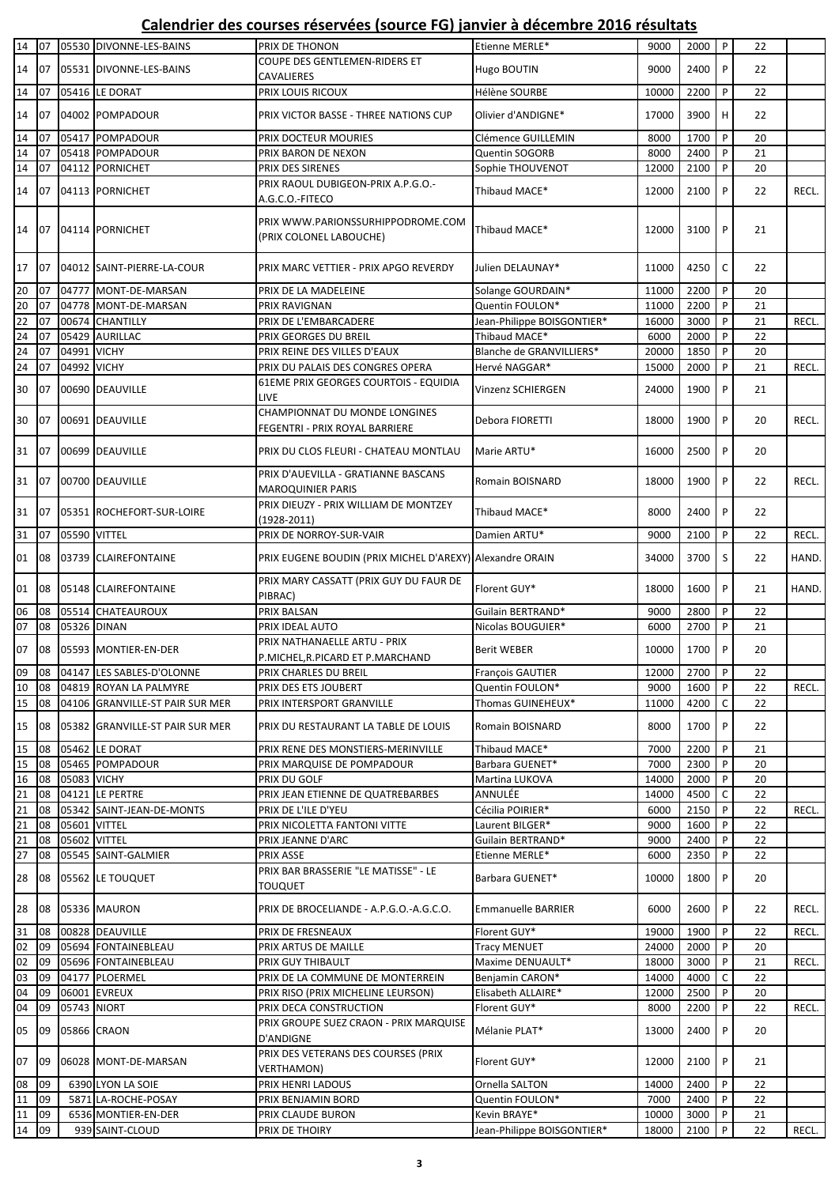| 14     | 107 |              | 05530 DIVONNE-LES-BAINS                                 | PRIX DE THONON                                                  | Etienne MERLE*                      | 9000           | 2000         | P                 | 22       |       |
|--------|-----|--------------|---------------------------------------------------------|-----------------------------------------------------------------|-------------------------------------|----------------|--------------|-------------------|----------|-------|
|        |     |              |                                                         | COUPE DES GENTLEMEN-RIDERS ET                                   |                                     |                |              |                   |          |       |
| 14     | 07  |              | 05531 DIVONNE-LES-BAINS                                 | CAVALIERES                                                      | Hugo BOUTIN                         | 9000           | 2400         | P                 | 22       |       |
| 14     | 07  |              | 05416 LE DORAT                                          | PRIX LOUIS RICOUX                                               | Hélène SOURBE                       | 10000          | 2200         | P                 | 22       |       |
| 14     | 107 |              | 04002 POMPADOUR                                         | PRIX VICTOR BASSE - THREE NATIONS CUP                           | Olivier d'ANDIGNE*                  | 17000          | 3900         | H                 | 22       |       |
| 14     | 07  |              | 05417 POMPADOUR                                         | PRIX DOCTEUR MOURIES                                            | Clémence GUILLEMIN                  | 8000           | 1700         | P                 | 20       |       |
| 14     | 07  |              | 05418 POMPADOUR                                         | PRIX BARON DE NEXON                                             | <b>Quentin SOGORB</b>               | 8000           | 2400         | P                 | 21       |       |
| 14     | 07  |              | 04112 PORNICHET                                         | PRIX DES SIRENES                                                | Sophie THOUVENOT                    | 12000          | 2100         | ${\sf P}$         | 20       |       |
| 14     | 107 |              | 04113 PORNICHET                                         | PRIX RAOUL DUBIGEON-PRIX A.P.G.O.-<br>A.G.C.O.-FITECO           | Thibaud MACE*                       | 12000          | 2100         | P                 | 22       | RECL. |
| 14     | 107 |              | 04114 PORNICHET                                         | PRIX WWW.PARIONSSURHIPPODROME.COM<br>(PRIX COLONEL LABOUCHE)    | Thibaud MACE*                       | 12000          | 3100         | P                 | 21       |       |
| 17     | 107 |              | 04012 SAINT-PIERRE-LA-COUR                              | PRIX MARC VETTIER - PRIX APGO REVERDY                           | Julien DELAUNAY*                    | 11000          | 4250         | $\mathsf{C}$      | 22       |       |
| 20     | 07  |              | 04777 MONT-DE-MARSAN                                    | PRIX DE LA MADELEINE                                            | Solange GOURDAIN*                   | 11000          | 2200         | P                 | 20       |       |
| 20     | 07  |              | 04778 MONT-DE-MARSAN                                    | PRIX RAVIGNAN                                                   | Quentin FOULON*                     | 11000          | 2200         | $\mathsf{P}$      | 21       |       |
| 22     | 07  |              | 00674 CHANTILLY                                         | PRIX DE L'EMBARCADERE                                           | Jean-Philippe BOISGONTIER*          | 16000          | 3000         | $\mathsf{P}$      | 21       | RECL. |
| 24     | 07  |              | 05429 AURILLAC                                          | PRIX GEORGES DU BREIL                                           | Thibaud MACE*                       | 6000           | 2000         | $\mathsf{P}$      | 22       |       |
| 24     | 07  | 04991 VICHY  |                                                         | PRIX REINE DES VILLES D'EAUX                                    | Blanche de GRANVILLIERS*            | 20000          | 1850         | $\mathsf{P}$      | 20       |       |
| 24     | 07  | 04992 VICHY  |                                                         | PRIX DU PALAIS DES CONGRES OPERA                                | Hervé NAGGAR*                       | 15000          | 2000         | ${\sf P}$         | 21       | RECL. |
| 30     | 07  |              | 00690 DEAUVILLE                                         | 61EME PRIX GEORGES COURTOIS - EQUIDIA<br>LIVE                   | Vinzenz SCHIERGEN                   | 24000          | 1900         | P                 | 21       |       |
| 30     | 107 |              | 00691 DEAUVILLE                                         | CHAMPIONNAT DU MONDE LONGINES<br>FEGENTRI - PRIX ROYAL BARRIERE | Debora FIORETTI                     | 18000          | 1900         | P                 | 20       | RECL. |
| 31     | 107 |              | 00699 DEAUVILLE                                         | PRIX DU CLOS FLEURI - CHATEAU MONTLAU                           | Marie ARTU*                         | 16000          | 2500         | P                 | 20       |       |
| 31     | 107 |              | 00700 DEAUVILLE                                         | PRIX D'AUEVILLA - GRATIANNE BASCANS<br>MAROQUINIER PARIS        | Romain BOISNARD                     | 18000          | 1900         | P                 | 22       | RECL. |
| 31     | 107 |              | 05351 ROCHEFORT-SUR-LOIRE                               | PRIX DIEUZY - PRIX WILLIAM DE MONTZEY<br>(1928-2011)            | Thibaud MACE*                       | 8000           | 2400         | P                 | 22       |       |
| 31     | 07  | 05590 VITTEL |                                                         | PRIX DE NORROY-SUR-VAIR                                         | Damien ARTU*                        | 9000           | 2100         | ${\sf P}$         | 22       | RECL. |
| 01     | 08  |              | 03739 CLAIREFONTAINE                                    | PRIX EUGENE BOUDIN (PRIX MICHEL D'AREXY) Alexandre ORAIN        |                                     | 34000          | 3700         | S                 | 22       | HAND. |
| 01     | 08  |              | 05148 CLAIREFONTAINE                                    | PRIX MARY CASSATT (PRIX GUY DU FAUR DE<br>PIBRAC)               | Florent GUY*                        | 18000          | 1600         | P                 | 21       | HAND. |
| 06     | 08  |              | 05514 CHATEAUROUX                                       | PRIX BALSAN                                                     | Guilain BERTRAND*                   | 9000           | 2800         | P                 | 22       |       |
| 07     | 08  |              | 05326 DINAN                                             | PRIX IDEAL AUTO                                                 | Nicolas BOUGUIER*                   | 6000           | 2700         | P                 | 21       |       |
|        |     |              |                                                         | PRIX NATHANAELLE ARTU - PRIX                                    |                                     |                |              |                   |          |       |
| 07     | 08  |              | 05593 MONTIER-EN-DER<br>09 08 04147 LES SABLES-D'OLONNE | P.MICHEL, R.PICARD ET P.MARCHAND<br>PRIX CHARLES DU BREIL       | <b>Berit WEBER</b>                  | 10000<br>12000 | 1700         | P<br>$\mathsf{P}$ | 20       |       |
| 10     | 108 |              | 04819 ROYAN LA PALMYRE                                  | PRIX DES ETS JOUBERT                                            | François GAUTIER<br>Quentin FOULON* | 9000           | 2700<br>1600 | P                 | 22<br>22 | RECL. |
| 15     | 08  |              | 04106 GRANVILLE-ST PAIR SUR MER                         | PRIX INTERSPORT GRANVILLE                                       | Thomas GUINEHEUX*                   | 11000          | 4200         | C                 | 22       |       |
| 15     | 08  |              | 05382 GRANVILLE-ST PAIR SUR MER                         | PRIX DU RESTAURANT LA TABLE DE LOUIS                            | Romain BOISNARD                     | 8000           | 1700         | P                 | 22       |       |
| 15     | 08  |              | 05462 LE DORAT                                          | PRIX RENE DES MONSTIERS-MERINVILLE                              | Thibaud MACE*                       | 7000           | 2200         | P                 | 21       |       |
| 15     | 08  |              | 05465 POMPADOUR                                         | PRIX MARQUISE DE POMPADOUR                                      | Barbara GUENET*                     | 7000           | 2300         | P                 | 20       |       |
| 16     | 08  | 05083 VICHY  |                                                         | PRIX DU GOLF                                                    | Martina LUKOVA                      | 14000          | 2000         | P                 | 20       |       |
| 21     | 08  |              | 04121 LE PERTRE                                         | PRIX JEAN ETIENNE DE QUATREBARBES                               | ANNULÉE                             | 14000          | 4500         | C                 | 22       |       |
| 21     | 08  |              | 05342 SAINT-JEAN-DE-MONTS                               | PRIX DE L'ILE D'YEU                                             | Cécilia POIRIER*                    | 6000           | 2150         | P                 | 22       | RECL. |
| 21     | 08  | 05601 VITTEL |                                                         | PRIX NICOLETTA FANTONI VITTE                                    | Laurent BILGER*                     | 9000           | 1600         | P                 | 22       |       |
| 21     | 08  |              | 05602 VITTEL                                            | PRIX JEANNE D'ARC                                               | Guilain BERTRAND*                   | 9000           | 2400         | P                 | 22       |       |
| 27     | 08  |              | 05545 SAINT-GALMIER                                     | PRIX ASSE                                                       | Etienne MERLE*                      | 6000           | 2350         | P                 | 22       |       |
| 28     | 08  |              | 05562 LE TOUQUET                                        | PRIX BAR BRASSERIE "LE MATISSE" - LE<br>TOUQUET                 | Barbara GUENET*                     | 10000          | 1800         | P                 | 20       |       |
| 28     | 08  |              | 05336 MAURON                                            | PRIX DE BROCELIANDE - A.P.G.O.-A.G.C.O.                         | <b>Emmanuelle BARRIER</b>           | 6000           | 2600         | P                 | 22       | RECL. |
| 31     | 08  |              | 00828 DEAUVILLE                                         | PRIX DE FRESNEAUX                                               | Florent GUY*                        | 19000          | 1900         | P                 | 22       | RECL. |
| 02     | 109 |              | 05694 FONTAINEBLEAU                                     | PRIX ARTUS DE MAILLE                                            | Tracy MENUET                        | 24000          | 2000         | P                 | 20       |       |
| 02     | 09  |              | 05696 FONTAINEBLEAU                                     | PRIX GUY THIBAULT                                               | Maxime DENUAULT*                    | 18000          | 3000         | P                 | 21       | RECL. |
| 03     | 09  |              | 04177 PLOERMEL                                          | PRIX DE LA COMMUNE DE MONTERREIN                                | Benjamin CARON*                     | 14000          | 4000         | C                 | 22       |       |
| 04     | 09  |              | 06001 EVREUX                                            | PRIX RISO (PRIX MICHELINE LEURSON)                              | Elisabeth ALLAIRE*                  | 12000          | 2500         | P                 | 20       |       |
| 04     | 09  | 05743 NIORT  |                                                         | PRIX DECA CONSTRUCTION                                          | Florent GUY*                        | 8000           | 2200         | P                 | 22       | RECL. |
| 05     | 109 |              | 05866 CRAON                                             | PRIX GROUPE SUEZ CRAON - PRIX MARQUISE<br>D'ANDIGNE             | Mélanie PLAT*                       | 13000          | 2400         | P                 | 20       |       |
| 07  09 |     |              | 06028 MONT-DE-MARSAN                                    | PRIX DES VETERANS DES COURSES (PRIX<br><b>VERTHAMON)</b>        | Florent GUY*                        | 12000          | 2100         | P                 | 21       |       |
| 08     | 09  |              | 6390 LYON LA SOIE                                       | PRIX HENRI LADOUS                                               | Ornella SALTON                      | 14000          | 2400         | P                 | 22       |       |
| 11     | 109 |              | 5871 LA-ROCHE-POSAY                                     | PRIX BENJAMIN BORD                                              | Quentin FOULON*                     | 7000           | 2400         | P                 | 22       |       |
| 11     | 09  |              | 6536 MONTIER-EN-DER                                     | PRIX CLAUDE BURON                                               | Kevin BRAYE*                        | 10000          | 3000         | P                 | 21       |       |
| 14 09  |     |              | 939 SAINT-CLOUD                                         | PRIX DE THOIRY                                                  | Jean-Philippe BOISGONTIER*          | 18000          | 2100         | P                 | 22       | RECL. |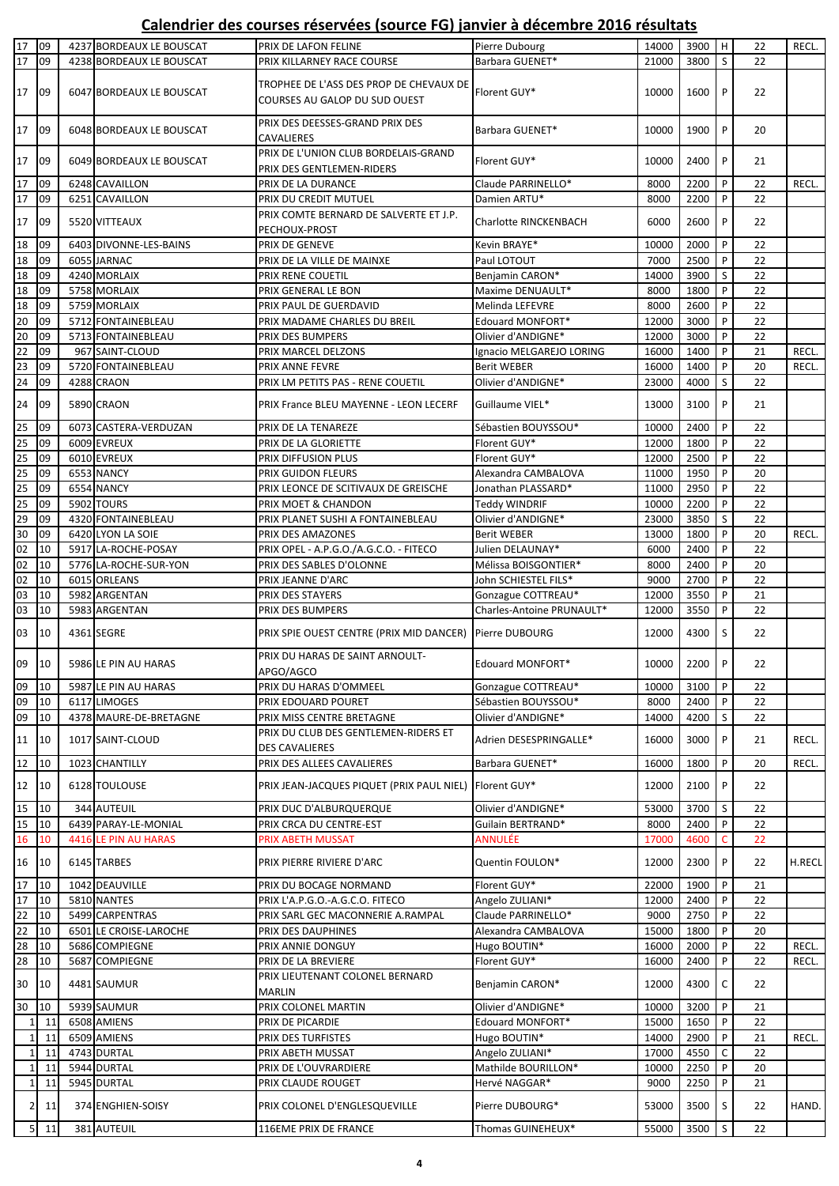| 17             | 109           | 4237 BORDEAUX LE BOUSCAT | PRIX DE LAFON FELINE                                                     | Pierre Dubourg            | 14000        | 3900 H |               | 22 | RECL.  |
|----------------|---------------|--------------------------|--------------------------------------------------------------------------|---------------------------|--------------|--------|---------------|----|--------|
| 17             | 09            | 4238 BORDEAUX LE BOUSCAT | PRIX KILLARNEY RACE COURSE                                               | Barbara GUENET*           | 21000        | 3800   | $\mathsf{S}$  | 22 |        |
| 17             | 109           | 6047 BORDEAUX LE BOUSCAT | TROPHEE DE L'ASS DES PROP DE CHEVAUX DE<br>COURSES AU GALOP DU SUD OUEST | Florent GUY*              | 10000        | 1600   | P             | 22 |        |
| 17             | $\sqrt{09}$   | 6048 BORDEAUX LE BOUSCAT | PRIX DES DEESSES-GRAND PRIX DES<br><b>CAVALIERES</b>                     | Barbara GUENET*           | 10000        | 1900   | P             | 20 |        |
| 17             | 09            | 6049 BORDEAUX LE BOUSCAT | PRIX DE L'UNION CLUB BORDELAIS-GRAND<br>PRIX DES GENTLEMEN-RIDERS        | Florent GUY*              | 10000        | 2400   | P             | 21 |        |
| 17             | 09            | 6248 CAVAILLON           | PRIX DE LA DURANCE                                                       | Claude PARRINELLO*        | 8000         | 2200   | P             | 22 | RECL.  |
| 17             | 09            | 6251 CAVAILLON           | PRIX DU CREDIT MUTUEL                                                    | Damien ARTU*              | 8000         | 2200   | P             | 22 |        |
| 17             | 09            | 5520 VITTEAUX            | PRIX COMTE BERNARD DE SALVERTE ET J.P.<br>PECHOUX-PROST                  | Charlotte RINCKENBACH     | 6000         | 2600   | P             | 22 |        |
| 18             | 09            | 6403 DIVONNE-LES-BAINS   | PRIX DE GENEVE                                                           | Kevin BRAYE*              | 10000        | 2000   | P             | 22 |        |
| 18             | 09            | 6055 JARNAC              | PRIX DE LA VILLE DE MAINXE                                               | Paul LOTOUT               | 7000         | 2500   | P             | 22 |        |
| 18             | 09            | 4240 MORLAIX             | PRIX RENE COUETIL                                                        | Benjamin CARON*           | 14000        | 3900   | S             | 22 |        |
| 18             | 09            | 5758 MORLAIX             | PRIX GENERAL LE BON                                                      | Maxime DENUAULT*          | 8000         | 1800   | P             | 22 |        |
| 18             | 09            | 5759 MORLAIX             | PRIX PAUL DE GUERDAVID                                                   | Melinda LEFEVRE           | 8000         | 2600   | P             | 22 |        |
| 20             | 09            | 5712 FONTAINEBLEAU       | PRIX MADAME CHARLES DU BREIL                                             | Edouard MONFORT*          | 12000        | 3000   | P             | 22 |        |
| 20             | 09            | 5713 FONTAINEBLEAU       | PRIX DES BUMPERS                                                         | Olivier d'ANDIGNE*        | 12000        | 3000   | P             | 22 |        |
| 22             | 09            | 967 SAINT-CLOUD          | PRIX MARCEL DELZONS                                                      | Ignacio MELGAREJO LORING  | 16000        | 1400   | $\mathsf{P}$  | 21 | RECL.  |
| 23             | 09            | 5720 FONTAINEBLEAU       | PRIX ANNE FEVRE                                                          | <b>Berit WEBER</b>        | 16000        | 1400   | P             | 20 | RECL.  |
| 24             | 09            | 4288 CRAON               | PRIX LM PETITS PAS - RENE COUETIL                                        | Olivier d'ANDIGNE*        | 23000        | 4000   | S             | 22 |        |
| 24             | 09            | 5890 CRAON               | PRIX France BLEU MAYENNE - LEON LECERF                                   | Guillaume VIEL*           | 13000        | 3100   | P             | 21 |        |
|                |               |                          |                                                                          |                           |              |        |               |    |        |
| 25             | 09            | 6073 CASTERA-VERDUZAN    | PRIX DE LA TENAREZE                                                      | Sébastien BOUYSSOU*       | 10000        | 2400   | $\mathsf{P}$  | 22 |        |
| 25             | 09            | 6009 EVREUX              | PRIX DE LA GLORIETTE                                                     | Florent GUY*              | 12000        | 1800   | $\mathsf{P}$  | 22 |        |
| 25             | 09            | 6010 EVREUX              | PRIX DIFFUSION PLUS                                                      | Florent GUY*              | 12000        | 2500   | P             | 22 |        |
| 25             | 09            | 6553 NANCY               | PRIX GUIDON FLEURS                                                       | Alexandra CAMBALOVA       | 11000        | 1950   | P             | 20 |        |
| 25             | 09            | 6554 NANCY               | PRIX LEONCE DE SCITIVAUX DE GREISCHE                                     | Jonathan PLASSARD*        | 11000        | 2950   | P             | 22 |        |
| 25             | 09            | 5902 TOURS               | PRIX MOET & CHANDON                                                      | Teddy WINDRIF             | 10000        | 2200   | $\mathsf{P}$  | 22 |        |
| 29             | 09            | 4320 FONTAINEBLEAU       | PRIX PLANET SUSHI A FONTAINEBLEAU                                        | Olivier d'ANDIGNE*        | 23000        | 3850   | S             | 22 |        |
| 30             | 09            | 6420 LYON LA SOIE        | PRIX DES AMAZONES                                                        | Berit WEBER               | 13000        | 1800   | P             | 20 | RECL.  |
| 02             | 10            | 5917 LA-ROCHE-POSAY      | PRIX OPEL - A.P.G.O./A.G.C.O. - FITECO                                   | Julien DELAUNAY*          | 6000         | 2400   | $\mathsf{P}$  | 22 |        |
| 02             | 10            | 5776 LA-ROCHE-SUR-YON    | PRIX DES SABLES D'OLONNE                                                 | Mélissa BOISGONTIER*      | 8000         | 2400   | P             | 20 |        |
| 02             | 10            | 6015 ORLEANS             | PRIX JEANNE D'ARC                                                        | John SCHIESTEL FILS*      | 9000         | 2700   | $\mathsf{P}$  | 22 |        |
| 03             | 10            | 5982 ARGENTAN            | PRIX DES STAYERS                                                         | Gonzague COTTREAU*        | 12000        | 3550   | $\mathsf{P}$  | 21 |        |
| 03             | 10            | 5983 ARGENTAN            | PRIX DES BUMPERS                                                         | Charles-Antoine PRUNAULT* | 12000        | 3550   | P             | 22 |        |
| 03             | 10            | 4361 SEGRE               | PRIX SPIE OUEST CENTRE (PRIX MID DANCER) Pierre DUBOURG                  |                           | 12000        | 4300   | S             | 22 |        |
| 109            | $\mathbf{10}$ | 5986 LE PIN AU HARAS     | PRIX DU HARAS DE SAINT ARNOULT-<br>APGO/AGCO                             | Edouard MONFORT*          | 10000 2200 P |        |               | 22 |        |
| 09             | 10            | 5987 LE PIN AU HARAS     | PRIX DU HARAS D'OMMEEL                                                   | Gonzague COTTREAU*        | 10000        | 3100   | $\mathsf{P}$  | 22 |        |
| 09             | 10            | 6117 LIMOGES             | PRIX EDOUARD POURET                                                      | Sébastien BOUYSSOU*       | 8000         | 2400   | $\mathsf{P}$  | 22 |        |
| 09             | 10            | 4378 MAURE-DE-BRETAGNE   | PRIX MISS CENTRE BRETAGNE                                                | Olivier d'ANDIGNE*        | 14000        | 4200 S |               | 22 |        |
|                |               | 1017 SAINT-CLOUD         | PRIX DU CLUB DES GENTLEMEN-RIDERS ET                                     |                           |              | 3000   | P             |    |        |
| 11             | 10            |                          | <b>DES CAVALIERES</b>                                                    | Adrien DESESPRINGALLE*    | 16000        |        |               | 21 | RECL.  |
| 12             | 10            | 1023 CHANTILLY           | PRIX DES ALLEES CAVALIERES                                               | Barbara GUENET*           | 16000        | 1800   | P             | 20 | RECL.  |
| 12             | 10            | 6128 TOULOUSE            | PRIX JEAN-JACQUES PIQUET (PRIX PAUL NIEL) Florent GUY*                   |                           | 12000        | 2100   | P             | 22 |        |
| 15             | 10            | 344 AUTEUIL              | PRIX DUC D'ALBURQUERQUE                                                  | Olivier d'ANDIGNE*        | 53000        | 3700   | S             | 22 |        |
| 15             | 10            | 6439 PARAY-LE-MONIAL     | PRIX CRCA DU CENTRE-EST                                                  | Guilain BERTRAND*         | 8000         | 2400   | P             | 22 |        |
| 16             | 10            | 4416 LE PIN AU HARAS     | PRIX ABETH MUSSAT                                                        | ANNULÉE                   | 17000        | 4600   | C             | 22 |        |
| 16             | 10            | 6145 TARBES              | PRIX PIERRE RIVIERE D'ARC                                                | Quentin FOULON*           | 12000        | 2300   | P             | 22 | H.RECL |
| 17             | 10            | 1042 DEAUVILLE           | PRIX DU BOCAGE NORMAND                                                   | Florent GUY*              | 22000        | 1900   | P             | 21 |        |
| 17             | 10            | 5810 NANTES              | PRIX L'A.P.G.O.-A.G.C.O. FITECO                                          | Angelo ZULIANI*           | 12000        | 2400   | $\mathsf{P}$  | 22 |        |
| 22             | 10            | 5499 CARPENTRAS          | PRIX SARL GEC MACONNERIE A.RAMPAL                                        | Claude PARRINELLO*        | 9000         | 2750   | P             | 22 |        |
| 22             | 10            | 6501 LE CROISE-LAROCHE   | PRIX DES DAUPHINES                                                       | Alexandra CAMBALOVA       | 15000        | 1800   | $\mathsf{P}$  | 20 |        |
| 28             | 10            | 5686 COMPIEGNE           | PRIX ANNIE DONGUY                                                        | Hugo BOUTIN*              | 16000        | 2000   | P             | 22 | RECL.  |
| 28             | 10            | 5687 COMPIEGNE           | PRIX DE LA BREVIERE                                                      | Florent GUY*              | 16000        | 2400   | P             | 22 | RECL.  |
| 30             | 10            | 4481 SAUMUR              | PRIX LIEUTENANT COLONEL BERNARD<br>MARLIN                                | Benjamin CARON*           | 12000        | 4300   | С             | 22 |        |
| 30             | 10            | 5939 SAUMUR              |                                                                          |                           |              | 3200   | P             | 21 |        |
|                |               |                          | PRIX COLONEL MARTIN                                                      | Olivier d'ANDIGNE*        | 10000        |        |               |    |        |
|                | 11            | 6508 AMIENS              | PRIX DE PICARDIE                                                         | Edouard MONFORT*          | 15000        | 1650   | P             | 22 |        |
|                | 11            | 6509 AMIENS              | PRIX DES TURFISTES                                                       | Hugo BOUTIN*              | 14000        | 2900   | P             | 21 | RECL.  |
|                | 11            | 4743 DURTAL              | PRIX ABETH MUSSAT                                                        | Angelo ZULIANI*           | 17000        | 4550   | ${\mathsf C}$ | 22 |        |
| 1              | 11            | 5944 DURTAL              | PRIX DE L'OUVRARDIERE                                                    | Mathilde BOURILLON*       | 10000        | 2250   | P             | 20 |        |
| $\mathbf{1}$   | 11            | 5945 DURTAL              | PRIX CLAUDE ROUGET                                                       | Hervé NAGGAR*             | 9000         | 2250   | $\mathsf{P}$  | 21 |        |
| $\overline{2}$ | 11            | 374 ENGHIEN-SOISY        | PRIX COLONEL D'ENGLESQUEVILLE                                            | Pierre DUBOURG*           | 53000        | 3500   | S             | 22 | HAND.  |
| 5 <sup>1</sup> | 11            | 381 AUTEUIL              | 116EME PRIX DE FRANCE                                                    | Thomas GUINEHEUX*         | 55000        | 3500   | $\mathsf{S}$  | 22 |        |
|                |               |                          |                                                                          |                           |              |        |               |    |        |